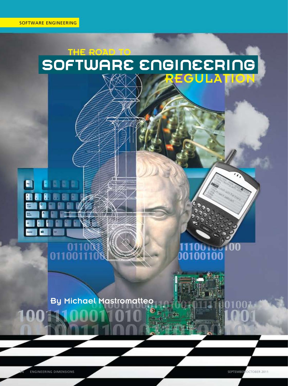# THE ROAD TO SOFTWARE ENGINEERING EGI LATION U

# $\blacksquare$

01100

# $100$  run w 00100100

**By Michael Mastromatteo** 

34 ENGINEERING DIMENSIONS September/October 2011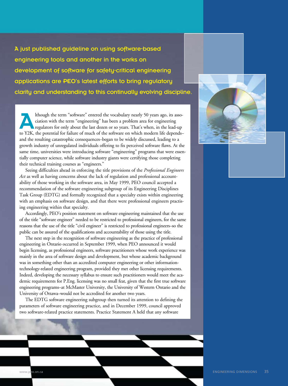A just published guideline on using software-based engineering tools and another in the works on development of software for safety-critical engineering applications are PEO's latest efforts to bring regulatory clarity and understanding to this continually evolving discipline.

Ithough the term "software" entered the vocabulary nearly 50 years ago, its asso-<br>ciation with the term "engineering" has been a problem area for engineering<br>regulators for only about the last dozen or so years. That's whe ciation with the term "engineering" has been a problem area for engineering regulators for only about the last dozen or so years. That's when, in the lead-up to Y2K, the potential for failure of much of the software on which modern life depends– and the resulting catastrophic consequences–began to be widely discussed, leading to a growth industry of unregulated individuals offering to fix perceived software flaws. At the same time, universities were introducing software "engineering" programs that were essentially computer science, while software industry giants were certifying those completing their technical training courses as "engineers."

Seeing difficulties ahead in enforcing the title provisions of the *Professional Engineers Act* as well as having concerns about the lack of regulation and professional accountability of those working in the software area, in May 1999, PEO council accepted a recommendation of the software engineering subgroup of its Engineering Disciplines Task Group (EDTG) and formally recognized that a specialty exists within engineering with an emphasis on software design, and that there were professional engineers practising engineering within that specialty.

Accordingly, PEO's position statement on software engineering maintained that the use of the title "software engineer" needed to be restricted to professional engineers, for the same reasons that the use of the title "civil engineer" is restricted to professional engineers–so the public can be assured of the qualifications and accountability of those using the title.

The next step in the recognition of software engineering as the practice of professional engineering in Ontario occurred in September 1999, when PEO announced it would begin licensing, as professional engineers, software practitioners whose work experience was mainly in the area of software design and development, but whose academic background was in something other than an accredited computer engineering or other informationtechnology-related engineering program, provided they met other licensing requirements. Indeed, developing the necessary syllabus to ensure such practitioners would meet the academic requirements for P.Eng. licensing was no small feat, given that the first true software engineering programs–at McMaster University, the University of Western Ontario and the University of Ottawa–would not be accredited for another two years.

The EDTG software engineering subgroup then turned its attention to defining the parameters of software engineering practice, and in December 1999, council approved two software-related practice statements. Practice Statement A held that any software

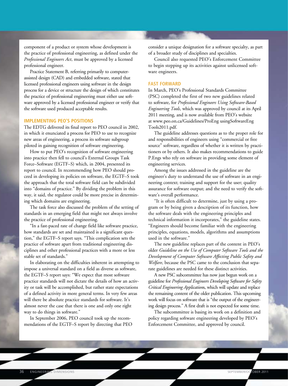component of a product or system whose development is the practice of professional engineering, as defined under the *Professional Engineers Act*, must be approved by a licensed professional engineer.

Practice Statement B, referring primarily to computerassisted design (CAD) and embedded software, stated that licensed professional engineers using software in the design process for a device or structure the design of which constitutes the practice of professional engineering must either use software approved by a licensed professional engineer or verify that the software used produced acceptable results.

### **Implementing PEO's positions**

The EDTG delivered its final report to PEO council in 2002, in which it enunciated a process for PEO to use to recognize new areas of engineering, a process its software subgroup piloted in gaining recognition of software engineering.

How to put PEO's recognition of software engineering into practice then fell to council's External Groups Task Force–Software (EGTF–S) which, in 2004, presented its report to council. In recommending how PEO should proceed in developing its policies on software, the EGTF–S took the approach that the total software field can be subdivided into "domains of practice." By dividing the problem in this way, it said, the regulator could be more precise in determining which domains are engineering.

The task force also discussed the problem of the setting of standards in an emerging field that might not always involve the practice of professional engineering.

"In a fast-paced rate of change field like software practice, how standards are set and maintained is a significant question," the EGTF–S report says. "This complication sets the practice of software apart from traditional engineering disciplines and other professional practices with a more or less stable set of standards."

In elaborating on the difficulties inherent in attempting to impose a universal standard on a field as diverse as software, the EGTF–S report says: "We expect that most software practice standards will not dictate the details of how an activity or task will be accomplished, but rather state expectations of a defined activity in more general terms. In very few areas will there be absolute practice standards for software. It's almost never the case that there is one and only one right way to do things in software."

In September 2006, PEO council took up the recommendations of the EGTF–S report by directing that PEO consider a unique designation for a software specialty, as part of a broader study of disciplines and specialties.

Council also requested PEO's Enforcement Committee to begin stepping up its activities against unlicensed software engineers.

### **Fast forward**

In March, PEO's Professional Standards Committee (PSC) completed the first of two new guidelines related to software, for *Professional Engineers Using Software-Based Engineering Tools*, which was approved by council at its April 2011 meeting, and is now available from PEO's website at www.peo.on.ca/Guidelines/ProEng usingSoftwareEng Tools2011.pdf.

The guideline addresses questions as to the proper role for and responsibilities of engineers using "commercial or free source" software, regardless of whether it is written by practitioners or by others. It also makes recommendations to guide P.Engs who rely on software in providing some element of engineering services.

Among the issues addressed in the guideline are the engineer's duty to understand the use of software in an engineering context; training and support for the user; quality assurance for software output; and the need to verify the software's overall performance.

"It is often difficult to determine, just by using a program or by being given a description of its function, how the software deals with the engineering principles and technical information it incorporates," the guideline states. "Engineers should become familiar with the engineering principles, equations, models, algorithms and assumptions used in the software."

The new guideline replaces part of the content in PEO's older *Guideline on the Use of Computer Software Tools and the Development of Computer Software Affecting Public Safety and Welfare*, because the PSC came to the conclusion that separate guidelines are needed for these distinct activities.

A new PSC subcommittee has now just begun work on a guideline for *Professional Engineers Developing Software for Safety Critical Engineering Application*s, which will update and replace the remaining content of the older publication. This upcoming work will focus on software that is "the output of the engineering design process." A first draft is not expected for some time.

The subcommittee is basing its work on a definition and policy regarding software engineering developed by PEO's Enforcement Committee, and approved by council.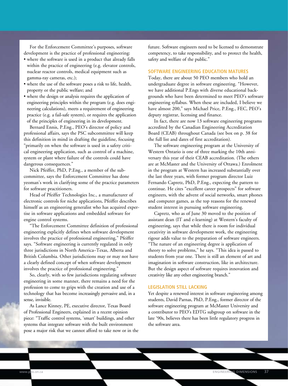For the Enforcement Committee's purposes, software development is the practice of professional engineering:

- where the software is used in a product that already falls within the practice of engineering (e.g. elevator controls, nuclear reactor controls, medical equipment such as gamma-ray cameras, etc.);
- where the use of the software poses a risk to life, health, property or the public welfare; and
- where the design or analysis requires the application of engineering principles within the program (e.g. does engineering calculations), meets a requirement of engineering practice (e.g. a fail-safe system), or requires the application of the principles of engineering in its development.

Bernard Ennis, P.Eng., PEO's director of policy and professional affairs, says the PSC subcommittee will keep this definition in mind in drafting the guideline, focusing "primarily on when the software is used in a safety critical engineering application, such as control of a machine, system or plant where failure of the controls could have dangerous consequences."

Nick Pfeiffer, PhD, P.Eng., a member of the subcommittee, says the Enforcement Committee has done yeoman's work in clarifying some of the practice parameters for software practitioners.

Head of Pfeiffer Technologies Inc., a manufacturer of electronic controls for niche applications, Pfeiffer describes himself as an engineering generalist who has acquired expertise in software applications and embedded software for engine control systems.

"The Enforcement Committee definition of professional engineering explicitly defines when software development involves the practice of professional engineering," Pfeiffer says. "Software engineering is currently regulated in only three jurisdictions in North America–Texas, Alberta and British Columbia. Other jurisdictions may or may not have a clearly defined concept of when software development involves the practice of professional engineering."

So, clearly, with so few jurisdictions regulating software engineering in some manner, there remains a need for the profession to come to grips with the creation and use of a technology that has become increasingly pervasive and, in a sense, invisible.

As Lance Kinney, PE, executive director, Texas Board of Professional Engineers, explained in a recent opinion piece: "Traffic control systems, 'smart' buildings, and other systems that integrate software with the built environment pose a major risk that we cannot afford to take now or in the future. Software engineers need to be licensed to demonstrate competency, to take responsibility, and to protect the health, safety and welfare of the public."

### **Software engineering education matures**

Today, there are about 50 PEO members who hold an undergraduate degree in software engineering. "However, we have additional P.Engs with diverse educational backgrounds who have been determined to meet PEO's software engineering syllabus. When these are included, I believe we have almost 200," says Michael Price, P.Eng., FEC, PEO's deputy registrar, licensing and finance.

In fact, there are now 13 software engineering programs accredited by the Canadian Engineering Accreditation Board (CEAB) throughout Canada (see box on p. 38 for the full list and dates of first accreditation).

The software engineering program at the University of Western Ontario is one of three marking the 10th anniversary this year of their CEAB accreditation. (The others are at McMaster and the University of Ottawa.) Enrolment in the program at Western has increased substantially over the last three years, with former program director Luiz Fernando Capretz, PhD, P.Eng., expecting the pattern to continue. He cites "excellent career prospects" for software engineers, with the advent of social networks, smart phones and computer games, as the top reasons for the renewed student interest in pursuing software engineering.

Capretz, who as of June 30 moved to the position of assistant dean (IT and e-learning) at Western's faculty of engineering, says that while there is room for individual creativity in software development work, the engineering rigour adds value to the preparation of software engineers. "The nature of an engineering degree is application of theory to solve problems," he says. "This idea is passed to students from year one. There is still an element of art and imagination in software construction, like in architecture. But the design aspect of software requires innovation and creativity like any other engineering branch."

### **Legislation still lacking**

Yet despite a renewed interest in software engineering among students, David Parnas, PhD, P.Eng., former director of the software engineering program at McMaster University and a contributor to PEO's EDTG subgroup on software in the late '90s, believes there has been little regulatory progress in the software area.